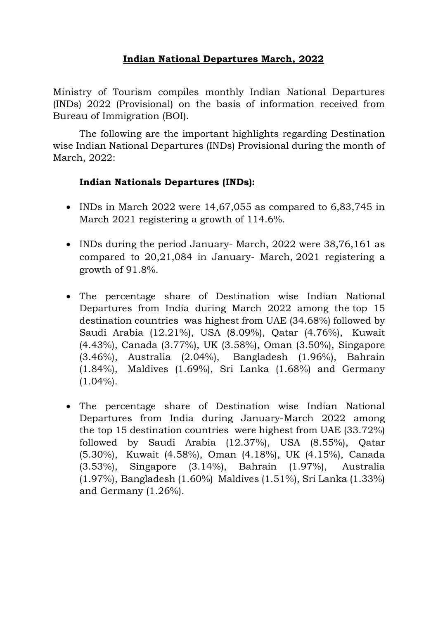## **Indian National Departures March, 2022**

Ministry of Tourism compiles monthly Indian National Departures (INDs) 2022 (Provisional) on the basis of information received from Bureau of Immigration (BOI).

The following are the important highlights regarding Destination wise Indian National Departures (INDs) Provisional during the month of March, 2022:

## **Indian Nationals Departures (INDs):**

- INDs in March 2022 were  $14,67,055$  as compared to  $6,83,745$  in March 2021 registering a growth of 114.6%.
- INDs during the period January- March, 2022 were 38,76,161 as compared to 20,21,084 in January- March, 2021 registering a growth of 91.8%.
- The percentage share of Destination wise Indian National Departures from India during March 2022 among the [top 15](https://tourism.eoffice.gov.in/eFile/ModalCorrespondenceView?corId=51623&individualPageNo=2&cpage=2&fileId=36539&type=Receipt&mId=26879)  [destination countries](https://tourism.eoffice.gov.in/eFile/ModalCorrespondenceView?corId=51623&individualPageNo=2&cpage=2&fileId=36539&type=Receipt&mId=26879) was highest from UAE (34.68%) followed by Saudi Arabia (12.21%), USA (8.09%), Qatar (4.76%), Kuwait (4.43%), Canada (3.77%), UK (3.58%), Oman (3.50%), Singapore (3.46%), Australia (2.04%), Bangladesh (1.96%), Bahrain (1.84%), Maldives (1.69%), Sri Lanka (1.68%) and Germany  $(1.04\%)$ .
- The percentage share of Destination wise Indian National Departures from India during January-March 2022 among the [top 15 destination countries](https://tourism.eoffice.gov.in/eFile/ModalCorrespondenceView?corId=51623&individualPageNo=2&cpage=2&fileId=36539&type=Receipt&mId=26879) were highest from UAE (33.72%) followed by Saudi Arabia (12.37%), USA (8.55%), Qatar (5.30%), Kuwait (4.58%), Oman (4.18%), UK (4.15%), Canada (3.53%), Singapore (3.14%), Bahrain (1.97%), Australia (1.97%), Bangladesh (1.60%) Maldives (1.51%), Sri Lanka (1.33%) and Germany (1.26%).